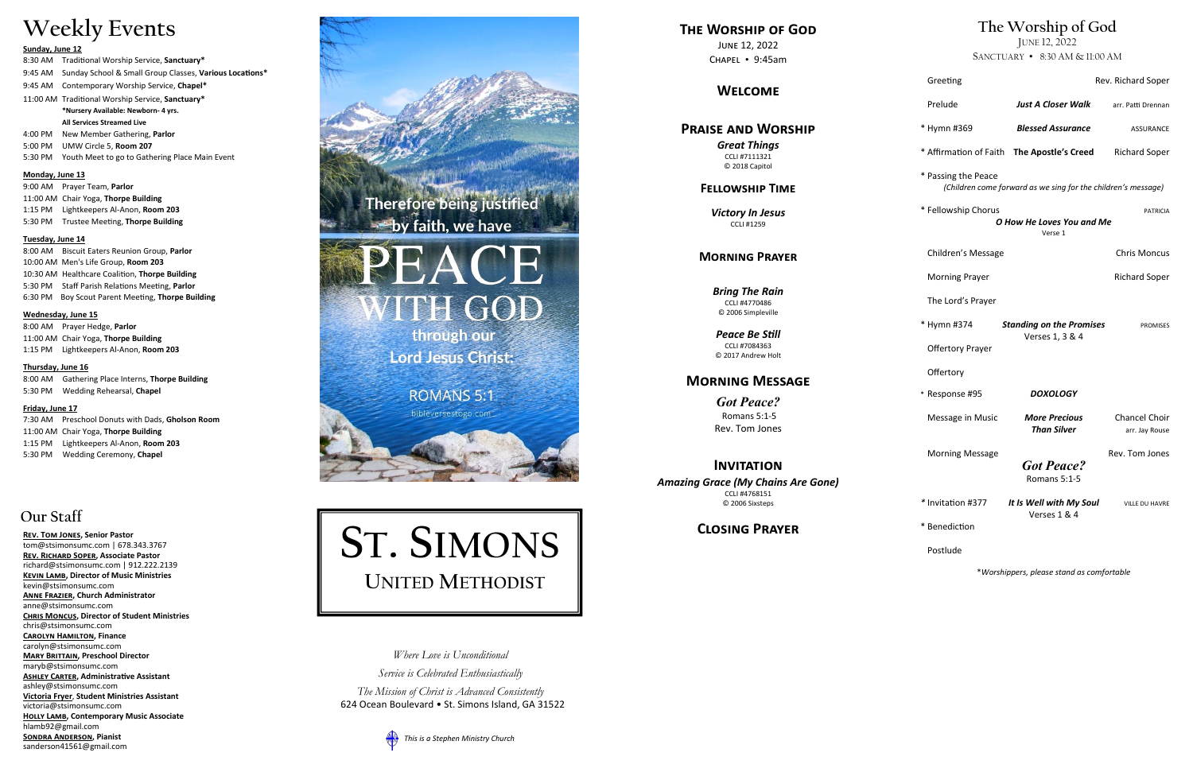### **Our Staff**

**[Rev. Tom Jones,](mailto:tom@stsimonsumc.com) Senior Pastor**  [tom@stsimonsumc.com](mailto:tom@stsimonsumc.com) | 678.343.3767 **Rev. Richard Soper, Associate Pastor** richard@stsimonsumc.com | 912.222.2139 **Kevin Lamb, Director of Music Ministries**  kevin@stsimonsumc.com **ANNE FRAZIER, Church Administrator** anne@stsimonsumc.com **Chris Moncus, Director of Student Ministries**  chris@stsimonsumc.com **Carolyn Hamilton, Finance**  carolyn@stsimonsumc.com **Mary Brittain, Preschool Director**  maryb@stsimonsumc.com **ASHLEY CARTER, Administrative Assistant** ashley@stsimonsumc.com **Victoria Fryer**, **Student Ministries Assistant** victoria@stsimonsumc.com **Holly Lamb, Contemporary Music Associate**  hlamb92@gmail.com **Sondra Anderson, Pianist** sanderson41561@gmail.com



*The Mission of Christ is Advanced Consistently* 

## **Weekly Events**

### **Sunday, June 12**

- 8:30 AM Traditional Worship Service, **Sanctuary\*** 9:45 AM Sunday School & Small Group Classes, **Various Locations\*** 9:45 AM Contemporary Worship Service, **Chapel\*** 11:00 AM Traditional Worship Service, **Sanctuary\* \*Nursery Available: Newborn - 4 yrs. All Services Streamed Live** 4:00 PM New Member Gathering, **Parlor** 5:00 PM UMW Circle 5, **Room 207**
- 5:30 PM Youth Meet to go to Gathering Place Main Event

### **Monday, June 13**

9:00 AM Prayer Team, **Parlor** 11:00 AM Chair Yoga, **Thorpe Building** 1:15 PM Lightkeepers Al -Anon, **Room 203** 5:30 PM Trustee Meeting, **Thorpe Building**

### **Tuesday, June 14**

8:00 AM Biscuit Eaters Reunion Group, **Parlor** 10:00 AM Men's Life Group, **Room 203** 10:30 AM Healthcare Coalition, **Thorpe Building** 5:30 PM Staff Parish Relations Meeting, **Parlor** 6:30 PM Boy Scout Parent Meeting, **Thorpe Building**

### **Wednesday, June 15**

8:00 AM Prayer Hedge, **Parlor** 11:00 AM Chair Yoga, **Thorpe Building** 1:15 PM Lightkeepers Al -Anon, **Room 203**

### **Thursday, June 16**

8:00 AM Gathering Place Interns, **Thorpe Building** 5:30 PM Wedding Rehearsal, **Chapel**

### **Friday, June 17**

7:30 AM Preschool Donuts with Dads, **Gholson Room**  11:00 AM Chair Yoga, **Thorpe Building** 1:15 PM Lightkeepers Al -Anon, **Room 203** 5:30 PM Wedding Ceremony, **Chapel**

### **The Worship of God**

JUNE 12, 2022

SANCTUARY • 8:30 AM & 11:00 AM

| Greeting                                                                       |                                                               | Rev. Richard Soper                     |  |
|--------------------------------------------------------------------------------|---------------------------------------------------------------|----------------------------------------|--|
| Prelude                                                                        | <b>Just A Closer Walk</b>                                     | arr. Patti Drennan                     |  |
| * Hymn #369                                                                    | <b>Blessed Assurance</b>                                      | <b>ASSURANCE</b>                       |  |
|                                                                                | * Affirmation of Faith The Apostle's Creed                    | <b>Richard Soper</b>                   |  |
| * Passing the Peace                                                            | (Children come forward as we sing for the children's message) |                                        |  |
| * Fellowship Chorus<br><b>PATRICIA</b><br>O How He Loves You and Me<br>Verse 1 |                                                               |                                        |  |
| Children's Message                                                             |                                                               | <b>Chris Moncus</b>                    |  |
| <b>Morning Prayer</b>                                                          |                                                               | <b>Richard Soper</b>                   |  |
| The Lord's Prayer                                                              |                                                               |                                        |  |
| * Hymn #374                                                                    | <b>Standing on the Promises</b><br>Verses 1, 3 & 4            | <b>PROMISES</b>                        |  |
| <b>Offertory Prayer</b>                                                        |                                                               |                                        |  |
| Offertory                                                                      |                                                               |                                        |  |
| * Response #95                                                                 | <b>DOXOLOGY</b>                                               |                                        |  |
| Message in Music                                                               | <b>More Precious</b><br><b>Than Silver</b>                    | <b>Chancel Choir</b><br>arr. Jay Rouse |  |
| <b>Morning Message</b>                                                         | <b>Got Peace?</b><br>Romans 5:1-5                             | Rev. Tom Jones                         |  |
| * Invitation #377                                                              | It Is Well with My Soul<br>Verses 1 & 4                       | <b>VILLE DU HAVRE</b>                  |  |
| * Benediction                                                                  |                                                               |                                        |  |
| Postlude                                                                       |                                                               |                                        |  |

\**Worshippers, please stand as comfortable*

624 Ocean Boulevard • St. Simons Island, GA 31522



*Where Love is Unconditional Service is Celebrated Enthusiastically*

### **The Worship of God**

June 12, 2022 Chapel • 9:45am

### **Welcome**

### **Praise and Worship**

*Great Things* CCLI #7111321 © 2018 Capitol

### **Fellowship Time**

*Victory In Jesus* CCLI #1259

### **Morning Prayer**

*Bring The Rain* CCLI #4770486 © 2006 Simpleville

*Peace Be Still* CCLI #7084363 © 2017 Andrew Holt

### **Morning Message**

*Got Peace?* Romans 5:1 - 5 Rev. Tom Jones

### **Invitation**

*Amazing Grace (My Chains Are Gone)* CCLI #4768151 © 2006 Sixsteps

### **Closing Prayer**